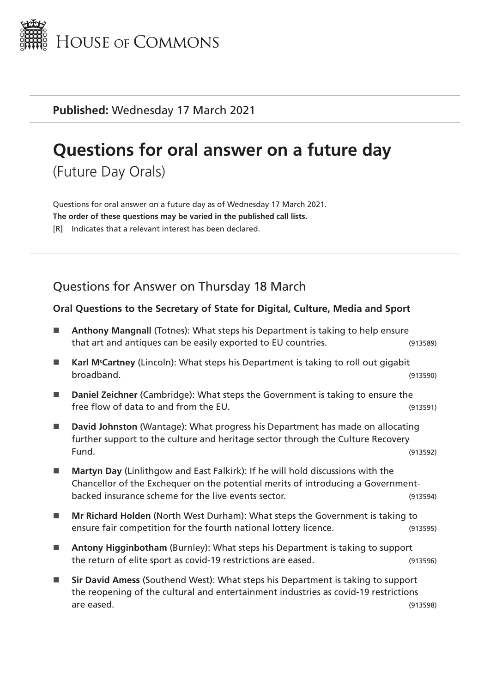

**Published:** Wednesday 17 March 2021

# **Questions for oral answer on a future day**

(Future Day Orals)

Questions for oral answer on a future day as of Wednesday 17 March 2021. **The order of these questions may be varied in the published call lists.** [R] Indicates that a relevant interest has been declared.

## Questions for Answer on Thursday 18 March

#### **Oral Questions to the Secretary of State for Digital, Culture, Media and Sport**

| <b>Anthony Mangnall (Totnes): What steps his Department is taking to help ensure</b><br>that art and antiques can be easily exported to EU countries.                                                                     | (913589) |
|---------------------------------------------------------------------------------------------------------------------------------------------------------------------------------------------------------------------------|----------|
| Karl M <sup>c</sup> Cartney (Lincoln): What steps his Department is taking to roll out gigabit<br>broadband.                                                                                                              | (913590) |
| Daniel Zeichner (Cambridge): What steps the Government is taking to ensure the<br>free flow of data to and from the EU.                                                                                                   | (913591) |
| David Johnston (Wantage): What progress his Department has made on allocating<br>further support to the culture and heritage sector through the Culture Recovery<br>Fund.                                                 | (913592) |
| Martyn Day (Linlithgow and East Falkirk): If he will hold discussions with the<br>Chancellor of the Exchequer on the potential merits of introducing a Government-<br>backed insurance scheme for the live events sector. | (913594) |
| Mr Richard Holden (North West Durham): What steps the Government is taking to<br>ensure fair competition for the fourth national lottery licence.                                                                         | (913595) |
| Antony Higginbotham (Burnley): What steps his Department is taking to support<br>the return of elite sport as covid-19 restrictions are eased.                                                                            | (913596) |
| Sir David Amess (Southend West): What steps his Department is taking to support<br>the reopening of the cultural and entertainment industries as covid-19 restrictions<br>are eased.                                      | (913598) |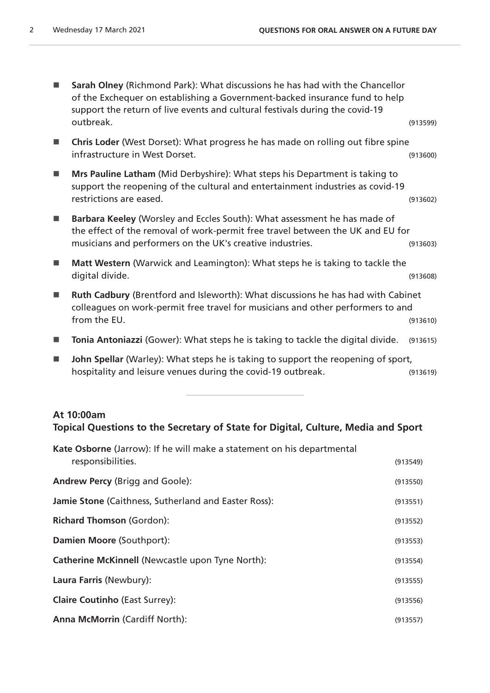| Sarah Olney (Richmond Park): What discussions he has had with the Chancellor<br>of the Exchequer on establishing a Government-backed insurance fund to help<br>support the return of live events and cultural festivals during the covid-19<br>outbreak. | (913599) |
|----------------------------------------------------------------------------------------------------------------------------------------------------------------------------------------------------------------------------------------------------------|----------|
| Chris Loder (West Dorset): What progress he has made on rolling out fibre spine<br>infrastructure in West Dorset.                                                                                                                                        | (913600) |
| Mrs Pauline Latham (Mid Derbyshire): What steps his Department is taking to<br>support the reopening of the cultural and entertainment industries as covid-19<br>restrictions are eased.                                                                 | (913602) |
| Barbara Keeley (Worsley and Eccles South): What assessment he has made of<br>the effect of the removal of work-permit free travel between the UK and EU for<br>musicians and performers on the UK's creative industries.                                 | (913603) |
| Matt Western (Warwick and Leamington): What steps he is taking to tackle the<br>digital divide.                                                                                                                                                          | (913608) |
| Ruth Cadbury (Brentford and Isleworth): What discussions he has had with Cabinet<br>colleagues on work-permit free travel for musicians and other performers to and<br>from the EU.                                                                      | (913610) |
| Tonia Antoniazzi (Gower): What steps he is taking to tackle the digital divide.                                                                                                                                                                          | (913615) |
| John Spellar (Warley): What steps he is taking to support the reopening of sport,<br>hospitality and leisure venues during the covid-19 outbreak.                                                                                                        | (913619) |

#### **At 10:00am Topical Questions to the Secretary of State for Digital, Culture, Media and Sport**

| <b>Kate Osborne</b> (Jarrow): If he will make a statement on his departmental<br>responsibilities. | (913549) |
|----------------------------------------------------------------------------------------------------|----------|
| <b>Andrew Percy (Brigg and Goole):</b>                                                             | (913550) |
| Jamie Stone (Caithness, Sutherland and Easter Ross):                                               | (913551) |
| <b>Richard Thomson (Gordon):</b>                                                                   | (913552) |
| Damien Moore (Southport):                                                                          | (913553) |
| <b>Catherine McKinnell (Newcastle upon Tyne North):</b>                                            | (913554) |
| Laura Farris (Newbury):                                                                            | (913555) |
| <b>Claire Coutinho (East Surrey):</b>                                                              | (913556) |
| <b>Anna McMorrin (Cardiff North):</b>                                                              | (913557) |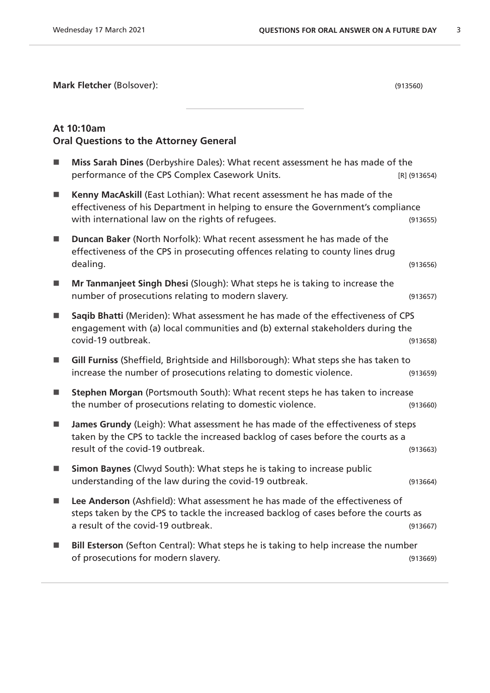**Mark Fletcher** (Bolsover): (913560)

#### **At 10:10am Oral Questions to the Attorney General**

| П              | Miss Sarah Dines (Derbyshire Dales): What recent assessment he has made of the<br>performance of the CPS Complex Casework Units.                                                                                   | $[R]$ (913654) |
|----------------|--------------------------------------------------------------------------------------------------------------------------------------------------------------------------------------------------------------------|----------------|
| $\mathbb{R}^n$ | Kenny MacAskill (East Lothian): What recent assessment he has made of the<br>effectiveness of his Department in helping to ensure the Government's compliance<br>with international law on the rights of refugees. | (913655)       |
| <b>College</b> | Duncan Baker (North Norfolk): What recent assessment he has made of the<br>effectiveness of the CPS in prosecuting offences relating to county lines drug<br>dealing.                                              | (913656)       |
| <b>I</b>       | Mr Tanmanjeet Singh Dhesi (Slough): What steps he is taking to increase the<br>number of prosecutions relating to modern slavery.                                                                                  | (913657)       |
| T.             | Saqib Bhatti (Meriden): What assessment he has made of the effectiveness of CPS<br>engagement with (a) local communities and (b) external stakeholders during the<br>covid-19 outbreak.                            | (913658)       |
| ш              | Gill Furniss (Sheffield, Brightside and Hillsborough): What steps she has taken to<br>increase the number of prosecutions relating to domestic violence.                                                           | (913659)       |
| <b>I</b>       | Stephen Morgan (Portsmouth South): What recent steps he has taken to increase<br>the number of prosecutions relating to domestic violence.                                                                         | (913660)       |
| $\mathbb{R}^n$ | James Grundy (Leigh): What assessment he has made of the effectiveness of steps<br>taken by the CPS to tackle the increased backlog of cases before the courts as a<br>result of the covid-19 outbreak.            | (913663)       |
| <b>I</b>       | Simon Baynes (Clwyd South): What steps he is taking to increase public<br>understanding of the law during the covid-19 outbreak.                                                                                   | (913664)       |
| $\mathbb{R}^n$ | Lee Anderson (Ashfield): What assessment he has made of the effectiveness of<br>steps taken by the CPS to tackle the increased backlog of cases before the courts as<br>a result of the covid-19 outbreak.         | (913667)       |
| <b>I</b>       | Bill Esterson (Sefton Central): What steps he is taking to help increase the number<br>of prosecutions for modern slavery.                                                                                         | (913669)       |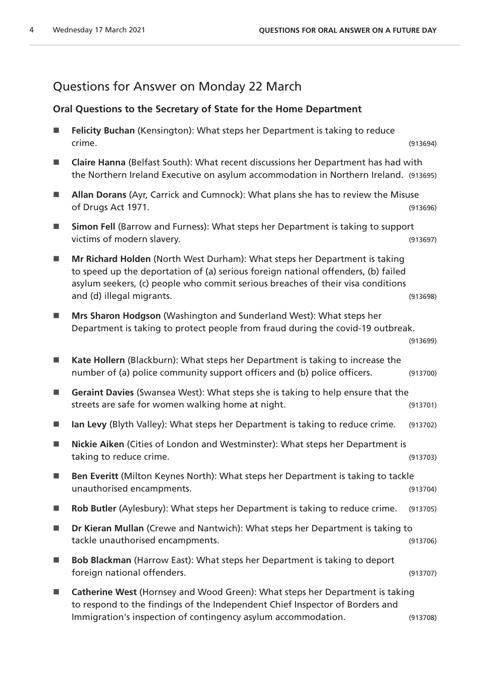## Questions for Answer on Monday 22 March

#### **Oral Questions to the Secretary of State for the Home Department**

| Felicity Buchan (Kensington): What steps her Department is taking to reduce<br>crime.                                                                                                                                                                                           | (913694) |
|---------------------------------------------------------------------------------------------------------------------------------------------------------------------------------------------------------------------------------------------------------------------------------|----------|
| Claire Hanna (Belfast South): What recent discussions her Department has had with<br>the Northern Ireland Executive on asylum accommodation in Northern Ireland. (913695)                                                                                                       |          |
| Allan Dorans (Ayr, Carrick and Cumnock): What plans she has to review the Misuse<br>of Drugs Act 1971.                                                                                                                                                                          | (913696) |
| Simon Fell (Barrow and Furness): What steps her Department is taking to support<br>victims of modern slavery.                                                                                                                                                                   | (913697) |
| Mr Richard Holden (North West Durham): What steps her Department is taking<br>to speed up the deportation of (a) serious foreign national offenders, (b) failed<br>asylum seekers, (c) people who commit serious breaches of their visa conditions<br>and (d) illegal migrants. | (913698) |
| Mrs Sharon Hodgson (Washington and Sunderland West): What steps her<br>Department is taking to protect people from fraud during the covid-19 outbreak.                                                                                                                          | (913699) |
| Kate Hollern (Blackburn): What steps her Department is taking to increase the<br>number of (a) police community support officers and (b) police officers.                                                                                                                       | (913700) |
| Geraint Davies (Swansea West): What steps she is taking to help ensure that the<br>streets are safe for women walking home at night.                                                                                                                                            | (913701) |
| Ian Levy (Blyth Valley): What steps her Department is taking to reduce crime.                                                                                                                                                                                                   | (913702) |
| Nickie Aiken (Cities of London and Westminster): What steps her Department is<br>taking to reduce crime.                                                                                                                                                                        | (913703) |
| Ben Everitt (Milton Keynes North): What steps her Department is taking to tackle<br>unauthorised encampments.                                                                                                                                                                   | (913704) |
| Rob Butler (Aylesbury): What steps her Department is taking to reduce crime.                                                                                                                                                                                                    | (913705) |
| Dr Kieran Mullan (Crewe and Nantwich): What steps her Department is taking to<br>tackle unauthorised encampments.                                                                                                                                                               | (913706) |
| <b>Bob Blackman</b> (Harrow East): What steps her Department is taking to deport<br>foreign national offenders.                                                                                                                                                                 | (913707) |
| Catherine West (Hornsey and Wood Green): What steps her Department is taking<br>to respond to the findings of the Independent Chief Inspector of Borders and<br>Immigration's inspection of contingency asylum accommodation.                                                   | (913708) |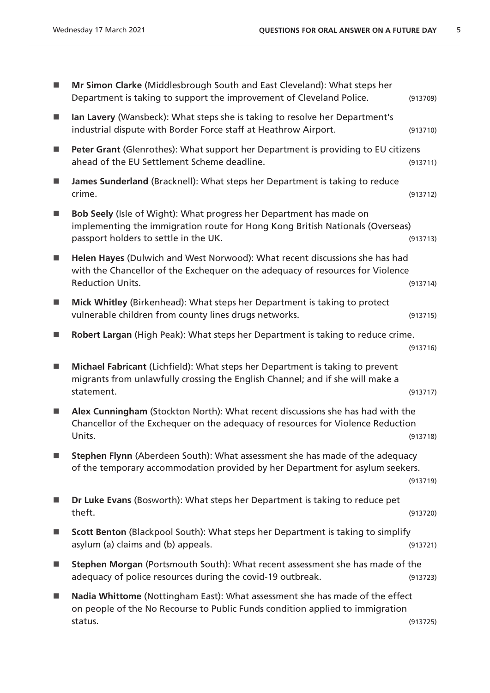| Mr Simon Clarke (Middlesbrough South and East Cleveland): What steps her<br>Department is taking to support the improvement of Cleveland Police.                                              | (913709) |
|-----------------------------------------------------------------------------------------------------------------------------------------------------------------------------------------------|----------|
| Ian Lavery (Wansbeck): What steps she is taking to resolve her Department's<br>industrial dispute with Border Force staff at Heathrow Airport.                                                | (913710) |
| Peter Grant (Glenrothes): What support her Department is providing to EU citizens<br>ahead of the EU Settlement Scheme deadline.                                                              | (913711) |
| James Sunderland (Bracknell): What steps her Department is taking to reduce<br>crime.                                                                                                         | (913712) |
| Bob Seely (Isle of Wight): What progress her Department has made on<br>implementing the immigration route for Hong Kong British Nationals (Overseas)<br>passport holders to settle in the UK. | (913713) |
| Helen Hayes (Dulwich and West Norwood): What recent discussions she has had<br>with the Chancellor of the Exchequer on the adequacy of resources for Violence<br><b>Reduction Units.</b>      | (913714) |
| Mick Whitley (Birkenhead): What steps her Department is taking to protect<br>vulnerable children from county lines drugs networks.                                                            | (913715) |
| Robert Largan (High Peak): What steps her Department is taking to reduce crime.                                                                                                               | (913716) |
| Michael Fabricant (Lichfield): What steps her Department is taking to prevent<br>migrants from unlawfully crossing the English Channel; and if she will make a<br>statement.                  | (913717) |
| Alex Cunningham (Stockton North): What recent discussions she has had with the<br>Chancellor of the Exchequer on the adequacy of resources for Violence Reduction<br>Units.                   | (913718) |
| Stephen Flynn (Aberdeen South): What assessment she has made of the adequacy<br>of the temporary accommodation provided by her Department for asylum seekers.                                 | (913719) |
| Dr Luke Evans (Bosworth): What steps her Department is taking to reduce pet<br>theft.                                                                                                         | (913720) |
| Scott Benton (Blackpool South): What steps her Department is taking to simplify<br>asylum (a) claims and (b) appeals.                                                                         | (913721) |
| Stephen Morgan (Portsmouth South): What recent assessment she has made of the<br>adequacy of police resources during the covid-19 outbreak.                                                   | (913723) |
| Nadia Whittome (Nottingham East): What assessment she has made of the effect<br>on people of the No Recourse to Public Funds condition applied to immigration<br>status.                      | (913725) |